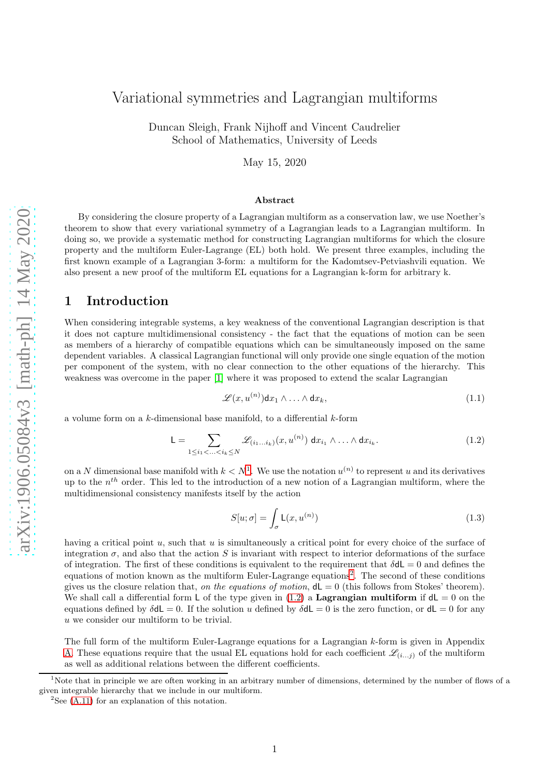# Variational symmetries and Lagrangian multiforms

Duncan Sleigh, Frank Nijhoff and Vincent Caudrelier School of Mathematics, University of Leeds

May 15, 2020

#### Abstract

By considering the closure property of a Lagrangian multiform as a conservation law, we use Noether's theorem to show that every variational symmetry of a Lagrangian leads to a Lagrangian multiform. In doing so, we provide a systematic method for constructing Lagrangian multiforms for which the closure property and the multiform Euler-Lagrange (EL) both hold. We present three examples, including the first known example of a Lagrangian 3-form: a multiform for the Kadomtsev-Petviashvili equation. We also present a new proof of the multiform EL equations for a Lagrangian k-form for arbitrary k.

# 1 Introduction

When considering integrable systems, a key weakness of the conventional Lagrangian description is that it does not capture multidimensional consistency - the fact that the equations of motion can be seen as members of a hierarchy of compatible equations which can be simultaneously imposed on the same dependent variables. A classical Lagrangian functional will only provide one single equation of the motion per component of the system, with no clear connection to the other equations of the hierarchy. This weakness was overcome in the paper [\[1\]](#page-13-0) where it was proposed to extend the scalar Lagrangian

$$
\mathscr{L}(x, u^{(n)}) dx_1 \wedge \ldots \wedge dx_k, \qquad (1.1)
$$

a volume form on a  $k$ -dimensional base manifold, to a differential  $k$ -form

<span id="page-0-2"></span>
$$
\mathsf{L} = \sum_{1 \leq i_1 < \ldots < i_k \leq N} \mathscr{L}_{(i_1 \ldots i_k)}(x, u^{(n)}) \, \mathrm{d}x_{i_1} \wedge \ldots \wedge \mathrm{d}x_{i_k}.\tag{1.2}
$$

on a N dimensional base manifold with  $k < N<sup>1</sup>$  $k < N<sup>1</sup>$  $k < N<sup>1</sup>$ . We use the notation  $u<sup>(n)</sup>$  to represent u and its derivatives up to the  $n^{th}$  order. This led to the introduction of a new notion of a Lagrangian multiform, where the multidimensional consistency manifests itself by the action

$$
S[u; \sigma] = \int_{\sigma} \mathsf{L}(x, u^{(n)}) \tag{1.3}
$$

having a critical point  $u$ , such that  $u$  is simultaneously a critical point for every choice of the surface of integration  $\sigma$ , and also that the action S is invariant with respect to interior deformations of the surface of integration. The first of these conditions is equivalent to the requirement that  $\delta dL = 0$  and defines the equations of motion known as the multiform Euler-Lagrange equations<sup>[2](#page-0-1)</sup>. The second of these conditions gives us the closure relation that, on the equations of motion,  $dL = 0$  (this follows from Stokes' theorem). We shall call a differential form L of the type given in [\(1.2\)](#page-0-2) a Lagrangian multiform if  $dL = 0$  on the equations defined by  $\delta dL = 0$ . If the solution u defined by  $\delta dL = 0$  is the zero function, or  $dL = 0$  for any u we consider our multiform to be trivial.

The full form of the multiform Euler-Lagrange equations for a Lagrangian k-form is given in Appendix [A.](#page-10-0) These equations require that the usual EL equations hold for each coefficient  $\mathcal{L}_{(i...j)}$  of the multiform as well as additional relations between the different coefficients.

<sup>&</sup>lt;sup>1</sup>Note that in principle we are often working in an arbitrary number of dimensions, determined by the number of flows of a given integrable hierarchy that we include in our multiform.

<span id="page-0-1"></span><span id="page-0-0"></span> ${}^{2}$ See [\(A.11\)](#page-11-0) for an explanation of this notation.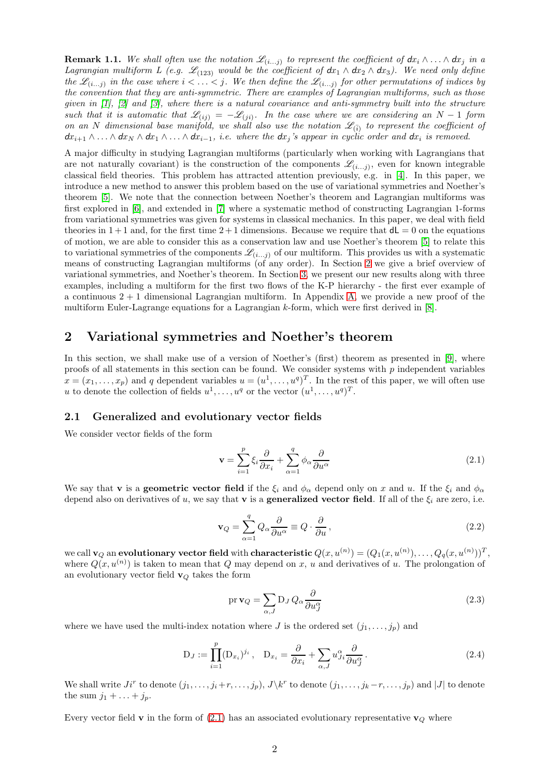**Remark 1.1.** We shall often use the notation  $\mathscr{L}_{(i...j)}$  to represent the coefficient of  $dx_i \wedge \ldots \wedge dx_j$  in a Lagrangian multiform L (e.g.  $\mathscr{L}_{(123)}$  would be the coefficient of  $dx_1 \wedge dx_2 \wedge dx_3$ ). We need only define the  $\mathscr{L}_{(i...j)}$  in the case where  $i < \ldots < j$ . We then define the  $\mathscr{L}_{(i...j)}$  for other permutations of indices by the convention that they are anti-symmetric. There are examples of Lagrangian multiforms, such as those given in [\[1\]](#page-13-0), [\[2\]](#page-13-1) and [\[3\]](#page-13-2), where there is a natural covariance and anti-symmetry built into the structure such that it is automatic that  $\mathscr{L}_{(ij)} = -\mathscr{L}_{(ji)}$ . In the case where we are considering an N – 1 form on an N dimensional base manifold, we shall also use the notation  $\mathscr{L}_{(\bar{i})}$  to represent the coefficient of  $dx_{i+1} \wedge \ldots \wedge dx_N \wedge dx_1 \wedge \ldots \wedge dx_{i-1}$ , i.e. where the  $dx_i$ 's appear in cyclic order and  $dx_i$  is removed.

A major difficulty in studying Lagrangian multiforms (particularly when working with Lagrangians that are not naturally covariant) is the construction of the components  $\mathscr{L}_{(i...j)}$ , even for known integrable classical field theories. This problem has attracted attention previously, e.g. in [\[4\]](#page-13-3). In this paper, we introduce a new method to answer this problem based on the use of variational symmetries and Noether's theorem [\[5\]](#page-13-4). We note that the connection between Noether's theorem and Lagrangian multiforms was first explored in [\[6\]](#page-13-5), and extended in [\[7\]](#page-13-6) where a systematic method of constructing Lagrangian 1-forms from variational symmetries was given for systems in classical mechanics. In this paper, we deal with field theories in  $1+1$  and, for the first time  $2+1$  dimensions. Because we require that  $d\mathsf{L}=0$  on the equations of motion, we are able to consider this as a conservation law and use Noether's theorem [\[5\]](#page-13-4) to relate this to variational symmetries of the components  $\mathscr{L}_{(i...j)}$  of our multiform. This provides us with a systematic means of constructing Lagrangian multiforms (of any order). In Section [2](#page-1-0) we give a brief overview of variational symmetries, and Noether's theorem. In Section [3,](#page-2-0) we present our new results along with three examples, including a multiform for the first two flows of the K-P hierarchy - the first ever example of a continuous  $2 + 1$  dimensional Lagrangian multiform. In Appendix [A,](#page-10-0) we provide a new proof of the multiform Euler-Lagrange equations for a Lagrangian  $k$ -form, which were first derived in [\[8\]](#page-13-7).

# <span id="page-1-0"></span>2 Variational symmetries and Noether's theorem

In this section, we shall make use of a version of Noether's (first) theorem as presented in [\[9\]](#page-13-8), where proofs of all statements in this section can be found. We consider systems with  $p$  independent variables  $x = (x_1, \ldots, x_p)$  and q dependent variables  $u = (u^1, \ldots, u^q)^T$ . In the rest of this paper, we will often use u to denote the collection of fields  $u^1, \ldots, u^q$  or the vector  $(u^1, \ldots, u^q)^T$ .

### 2.1 Generalized and evolutionary vector fields

We consider vector fields of the form

<span id="page-1-1"></span>
$$
\mathbf{v} = \sum_{i=1}^{p} \xi_i \frac{\partial}{\partial x_i} + \sum_{\alpha=1}^{q} \phi_\alpha \frac{\partial}{\partial u^\alpha}
$$
(2.1)

We say that **v** is a **geometric vector field** if the  $\xi_i$  and  $\phi_\alpha$  depend only on x and u. If the  $\xi_i$  and  $\phi_\alpha$ depend also on derivatives of u, we say that **v** is a **generalized vector field**. If all of the  $\xi_i$  are zero, i.e.

$$
\mathbf{v}_Q = \sum_{\alpha=1}^q Q_\alpha \frac{\partial}{\partial u^\alpha} \equiv Q \cdot \frac{\partial}{\partial u},\qquad(2.2)
$$

we call  $\mathbf{v}_Q$  an **evolutionary vector field** with **characteristic**  $Q(x,u^{(n)})=(Q_1(x,u^{(n)}),\ldots,Q_q(x,u^{(n)}))^T,$ where  $Q(x, u^{(n)})$  is taken to mean that Q may depend on x, u and derivatives of u. The prolongation of an evolutionary vector field  $\mathbf{v}_Q$  takes the form

$$
\operatorname{pr} \mathbf{v}_Q = \sum_{\alpha, J} \mathbf{D}_J \, Q_\alpha \frac{\partial}{\partial u_J^\alpha} \tag{2.3}
$$

where we have used the multi-index notation where J is the ordered set  $(j_1, \ldots, j_p)$  and

$$
D_J := \prod_{i=1}^p (D_{x_i})^{j_i}, \quad D_{x_i} = \frac{\partial}{\partial x_i} + \sum_{\alpha, J} u_{J_i}^{\alpha} \frac{\partial}{\partial u_J^{\alpha}}.
$$
 (2.4)

We shall write  $J_i^r$  to denote  $(j_1,\ldots,j_i+r,\ldots,j_p)$ ,  $J\backslash k^r$  to denote  $(j_1,\ldots,j_k-r,\ldots,j_p)$  and  $|J|$  to denote the sum  $j_1 + \ldots + j_p$ .

Every vector field **v** in the form of [\(2.1\)](#page-1-1) has an associated evolutionary representative  $\mathbf{v}_Q$  where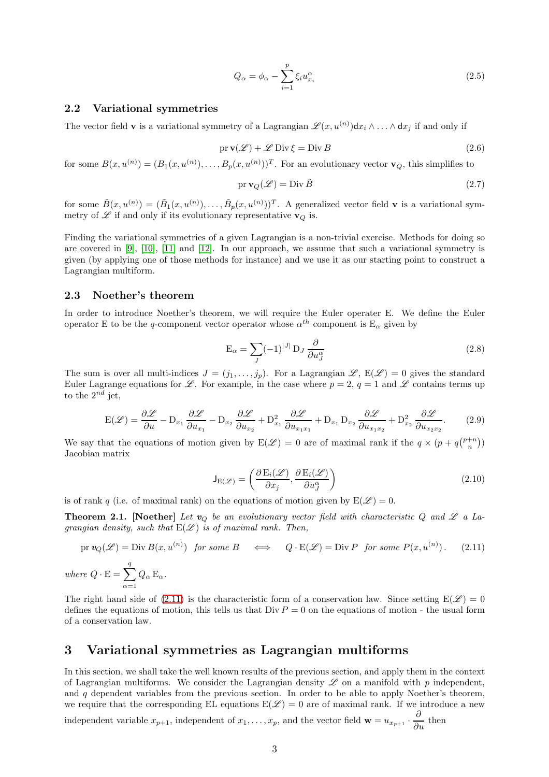$$
Q_{\alpha} = \phi_{\alpha} - \sum_{i=1}^{p} \xi_i u_{x_i}^{\alpha} \tag{2.5}
$$

## 2.2 Variational symmetries

The vector field **v** is a variational symmetry of a Lagrangian  $\mathscr{L}(x, u^{(n)})dx_i \wedge \ldots \wedge dx_j$  if and only if

$$
\text{pr}\,\mathbf{v}(\mathcal{L}) + \mathcal{L}\,\text{Div}\,\xi = \text{Div}\,B\tag{2.6}
$$

for some  $B(x, u^{(n)}) = (B_1(x, u^{(n)}), \dots, B_p(x, u^{(n)}))^T$ . For an evolutionary vector  $\mathbf{v}_Q$ , this simplifies to

$$
\operatorname{pr} \mathbf{v}_Q(\mathcal{L}) = \operatorname{Div} \tilde{B} \tag{2.7}
$$

for some  $\tilde{B}(x, u^{(n)}) = (\tilde{B}_1(x, u^{(n)}), \dots, \tilde{B}_p(x, u^{(n)}))^T$ . A generalized vector field **v** is a variational symmetry of  $\mathscr L$  if and only if its evolutionary representative  $\mathbf{v}_Q$  is.

Finding the variational symmetries of a given Lagrangian is a non-trivial exercise. Methods for doing so are covered in [\[9\]](#page-13-8), [\[10\]](#page-13-9), [\[11\]](#page-13-10) and [\[12\]](#page-13-11). In our approach, we assume that such a variational symmetry is given (by applying one of those methods for instance) and we use it as our starting point to construct a Lagrangian multiform.

### 2.3 Noether's theorem

In order to introduce Noether's theorem, we will require the Euler operater E. We define the Euler operator E to be the q-component vector operator whose  $\alpha^{th}$  component is  $E_{\alpha}$  given by

$$
E_{\alpha} = \sum_{J} (-1)^{|J|} D_J \frac{\partial}{\partial u_J^{\alpha}}
$$
\n(2.8)

The sum is over all multi-indices  $J = (j_1, \ldots, j_p)$ . For a Lagrangian  $\mathscr{L}, E(\mathscr{L}) = 0$  gives the standard Euler Lagrange equations for  $\mathscr{L}$ . For example, in the case where  $p = 2$ ,  $q = 1$  and  $\mathscr{L}$  contains terms up to the  $2^{nd}$  jet,

$$
E(\mathcal{L}) = \frac{\partial \mathcal{L}}{\partial u} - D_{x_1} \frac{\partial \mathcal{L}}{\partial u_{x_1}} - D_{x_2} \frac{\partial \mathcal{L}}{\partial u_{x_2}} + D_{x_1}^2 \frac{\partial \mathcal{L}}{\partial u_{x_1 x_1}} + D_{x_1} D_{x_2} \frac{\partial \mathcal{L}}{\partial u_{x_1 x_2}} + D_{x_2}^2 \frac{\partial \mathcal{L}}{\partial u_{x_2 x_2}}.
$$
(2.9)

We say that the equations of motion given by  $E(\mathscr{L}) = 0$  are of maximal rank if the  $q \times (p + q{\binom{p+n}{n}})$ Jacobian matrix

$$
\mathsf{J}_{\mathcal{E}(\mathscr{L})} = \left( \frac{\partial \mathcal{E}_i(\mathscr{L})}{\partial x_j}, \frac{\partial \mathcal{E}_i(\mathscr{L})}{\partial u_j^{\alpha}} \right)
$$
(2.10)

is of rank q (i.e. of maximal rank) on the equations of motion given by  $E(\mathscr{L}) = 0$ .

**Theorem 2.1.** [Noether] Let  $v_Q$  be an evolutionary vector field with characteristic Q and  $\mathscr L$  a Lagrangian density, such that  $E(\mathscr{L})$  is of maximal rank. Then,

<span id="page-2-1"></span>
$$
\text{pr } \mathbf{v}_Q(\mathcal{L}) = \text{Div } B(x, u^{(n)}) \text{ for some } B \iff Q \cdot E(\mathcal{L}) = \text{Div } P \text{ for some } P(x, u^{(n)}) \, . \tag{2.11}
$$

where  $Q \cdot E = \sum_{n=1}^{q}$  $\alpha=1$  $Q_{\alpha} E_{\alpha}$ .

The right hand side of [\(2.11\)](#page-2-1) is the characteristic form of a conservation law. Since setting  $E(\mathscr{L}) = 0$ defines the equations of motion, this tells us that  $Div P = 0$  on the equations of motion - the usual form of a conservation law.

# <span id="page-2-0"></span>3 Variational symmetries as Lagrangian multiforms

In this section, we shall take the well known results of the previous section, and apply them in the context of Lagrangian multiforms. We consider the Lagrangian density  $\mathscr L$  on a manifold with p independent, and  $q$  dependent variables from the previous section. In order to be able to apply Noether's theorem, we require that the corresponding EL equations  $E(\mathscr{L}) = 0$  are of maximal rank. If we introduce a new

independent variable  $x_{p+1}$ , independent of  $x_1, \ldots, x_p$ , and the vector field  $\mathbf{w} = u_{x_{p+1}} \cdot \frac{\partial}{\partial u}$  then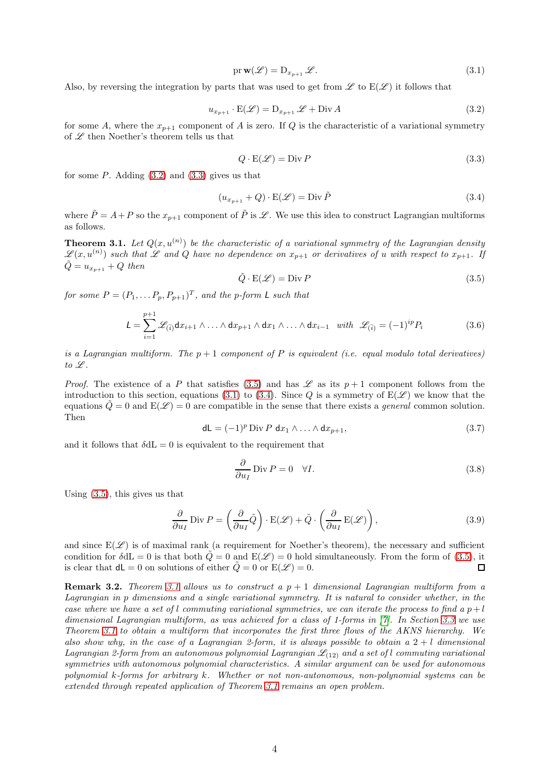<span id="page-3-3"></span>
$$
\text{pr}\,\mathbf{w}(\mathcal{L}) = \mathbf{D}_{x_{p+1}}\,\mathcal{L}.\tag{3.1}
$$

Also, by reversing the integration by parts that was used to get from  $\mathscr L$  to  $E(\mathscr L)$  it follows that

<span id="page-3-0"></span>
$$
u_{x_{p+1}} \cdot E(\mathcal{L}) = D_{x_{p+1}} \mathcal{L} + \text{Div } A \tag{3.2}
$$

for some A, where the  $x_{p+1}$  component of A is zero. If Q is the characteristic of a variational symmetry of  ${\mathscr L}$  then Noether's theorem tells us that

<span id="page-3-1"></span>
$$
Q \cdot \mathcal{E}(\mathcal{L}) = \text{Div } P \tag{3.3}
$$

for some  $P$ . Adding  $(3.2)$  and  $(3.3)$  gives us that

<span id="page-3-4"></span>
$$
(u_{x_{p+1}} + Q) \cdot \mathcal{E}(\mathcal{L}) = \text{Div }\tilde{P}
$$
\n(3.4)

where  $\tilde{P} = A + P$  so the  $x_{p+1}$  component of  $\tilde{P}$  is  $\mathscr{L}$ . We use this idea to construct Lagrangian multiforms as follows.

<span id="page-3-5"></span>**Theorem 3.1.** Let  $Q(x, u^{(n)})$  be the characteristic of a variational symmetry of the Lagrangian density  $\mathscr{L}(x, u^{(n)})$  such that  $\mathscr L$  and  $Q$  have no dependence on  $x_{p+1}$  or derivatives of u with respect to  $x_{p+1}$ . If  $\ddot{Q} = u_{x_{p+1}} + Q$  then

<span id="page-3-2"></span>
$$
\tilde{Q} \cdot \mathcal{E}(\mathcal{L}) = \text{Div } P \tag{3.5}
$$

for some  $P = (P_1, \ldots P_p, P_{p+1})^T$ , and the p-form L such that

$$
L = \sum_{i=1}^{p+1} \mathcal{L}_{(\bar{i})} dx_{i+1} \wedge \ldots \wedge dx_{p+1} \wedge dx_1 \wedge \ldots \wedge dx_{i-1} \quad with \quad \mathcal{L}_{(\bar{i})} = (-1)^{ip} P_i \tag{3.6}
$$

is a Lagrangian multiform. The  $p + 1$  component of P is equivalent (i.e. equal modulo total derivatives) to  $\mathscr L$ .

*Proof.* The existence of a P that satisfies [\(3.5\)](#page-3-2) and has  $\mathscr L$  as its  $p+1$  component follows from the introduction to this section, equations [\(3.1\)](#page-3-3) to [\(3.4\)](#page-3-4). Since Q is a symmetry of  $E(\mathscr{L})$  we know that the equations  $\tilde{Q} = 0$  and  $E(\mathcal{L}) = 0$  are compatible in the sense that there exists a *general* common solution. Then

$$
dL = (-1)^p \operatorname{Div} P \, dx_1 \wedge \ldots \wedge dx_{p+1}, \tag{3.7}
$$

and it follows that  $\delta dL = 0$  is equivalent to the requirement that

$$
\frac{\partial}{\partial u_I} \text{Div } P = 0 \quad \forall I. \tag{3.8}
$$

Using [\(3.5\)](#page-3-2), this gives us that

$$
\frac{\partial}{\partial u_I} \operatorname{Div} P = \left(\frac{\partial}{\partial u_I} \tilde{Q}\right) \cdot \operatorname{E}(\mathscr{L}) + \tilde{Q} \cdot \left(\frac{\partial}{\partial u_I} \operatorname{E}(\mathscr{L})\right),\tag{3.9}
$$

and since  $E(\mathscr{L})$  is of maximal rank (a requirement for Noether's theorem), the necessary and sufficient condition for  $\delta dL = 0$  is that both  $\dot{Q} = 0$  and  $E(\mathscr{L}) = 0$  hold simultaneously. From the form of [\(3.5\)](#page-3-2), it is clear that  $d\mathsf{L} = 0$  on solutions of either  $Q = 0$  or  $E(\mathscr{L}) = 0$ .  $\Box$ 

**Remark 3.2.** Theorem [3.1](#page-3-5) allows us to construct a  $p + 1$  dimensional Lagrangian multiform from a Lagrangian in p dimensions and a single variational symmetry. It is natural to consider whether, in the case where we have a set of l commuting variational symmetries, we can iterate the process to find a  $p+l$ dimensional Lagrangian multiform, as was achieved for a class of 1-forms in [\[7\]](#page-13-6). In Section [3.3](#page-6-0) we use Theorem [3.1](#page-3-5) to obtain a multiform that incorporates the first three flows of the AKNS hierarchy. We also show why, in the case of a Lagrangian 2-form, it is always possible to obtain a  $2 + l$  dimensional Lagrangian 2-form from an autonomous polynomial Lagrangian  $\mathcal{L}_{(12)}$  and a set of l commuting variational symmetries with autonomous polynomial characteristics. A similar argument can be used for autonomous polynomial k-forms for arbitrary k. Whether or not non-autonomous, non-polynomial systems can be extended through repeated application of Theorem [3.1](#page-3-5) remains an open problem.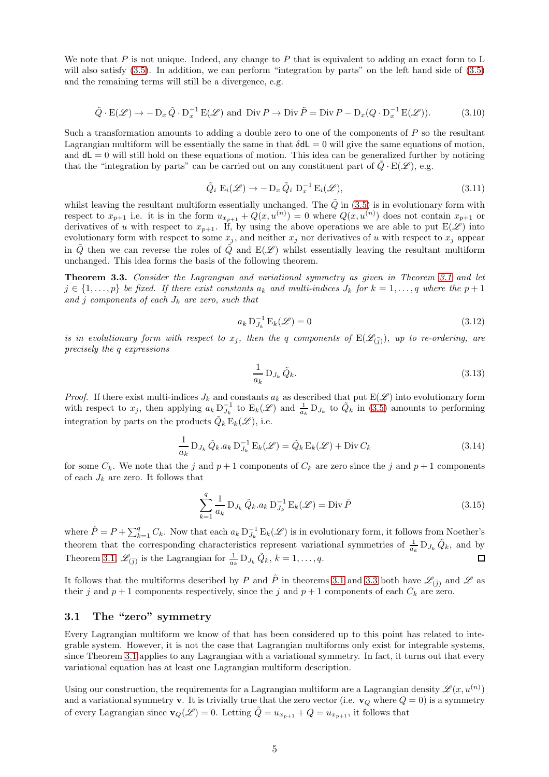We note that P is not unique. Indeed, any change to P that is equivalent to adding an exact form to L will also satisfy  $(3.5)$ . In addition, we can perform "integration by parts" on the left hand side of  $(3.5)$ and the remaining terms will still be a divergence, e.g.

$$
\tilde{Q} \cdot E(\mathcal{L}) \to -D_x \tilde{Q} \cdot D_x^{-1} E(\mathcal{L}) \text{ and Div } P \to \text{Div } \tilde{P} = \text{Div } P - D_x (Q \cdot D_x^{-1} E(\mathcal{L})). \tag{3.10}
$$

Such a transformation amounts to adding a double zero to one of the components of  $P$  so the resultant Lagrangian multiform will be essentially the same in that  $\delta dL = 0$  will give the same equations of motion, and  $dL = 0$  will still hold on these equations of motion. This idea can be generalized further by noticing that the "integration by parts" can be carried out on any constituent part of  $\tilde{Q} \cdot E(\mathscr{L})$ , e.g.

$$
\tilde{Q}_i \mathcal{E}_i(\mathcal{L}) \to -\mathcal{D}_x \, \tilde{Q}_i \, \mathcal{D}_x^{-1} \mathcal{E}_i(\mathcal{L}), \tag{3.11}
$$

whilst leaving the resultant multiform essentially unchanged. The  $\tilde{Q}$  in [\(3.5\)](#page-3-2) is in evolutionary form with respect to  $x_{p+1}$  i.e. it is in the form  $u_{x_{p+1}} + Q(x, u^{(n)}) = 0$  where  $Q(x, u^{(n)})$  does not contain  $x_{p+1}$  or derivatives of u with respect to  $x_{p+1}$ . If, by using the above operations we are able to put  $E(\hat{\mathscr{L}})$  into evolutionary form with respect to some  $x_j$ , and neither  $x_j$  nor derivatives of u with respect to  $x_j$  appear in  $\tilde{Q}$  then we can reverse the roles of  $\tilde{Q}$  and  $E(\mathscr{L})$  whilst essentially leaving the resultant multiform unchanged. This idea forms the basis of the following theorem.

<span id="page-4-0"></span>Theorem 3.3. Consider the Lagrangian and variational symmetry as given in Theorem [3.1](#page-3-5) and let  $j \in \{1, \ldots, p\}$  be fixed. If there exist constants  $a_k$  and multi-indices  $J_k$  for  $k = 1, \ldots, q$  where the  $p + 1$ and j components of each  $J_k$  are zero, such that

$$
a_k \mathbf{D}_{J_k}^{-1} \mathbf{E}_k(\mathcal{L}) = 0 \tag{3.12}
$$

is in evolutionary form with respect to  $x_j$ , then the q components of  $E(\mathscr{L}_{(\bar{j})})$ , up to re-ordering, are precisely the q expressions

$$
\frac{1}{a_k} D_{J_k} \tilde{Q}_k. \tag{3.13}
$$

*Proof.* If there exist multi-indices  $J_k$  and constants  $a_k$  as described that put  $E(\mathscr{L})$  into evolutionary form with respect to  $x_j$ , then applying  $a_k D_{J_k}^{-1}$  to  $E_k(\mathscr{L})$  and  $\frac{1}{a_k} D_{J_k}$  to  $\tilde{Q}_k$  in [\(3.5\)](#page-3-2) amounts to performing integration by parts on the products  $\tilde{Q}_k E_k(\mathscr{L}),$  i.e.

$$
\frac{1}{a_k} D_{J_k} \tilde{Q}_k a_k D_{J_k}^{-1} E_k(\mathscr{L}) = \tilde{Q}_k E_k(\mathscr{L}) + \text{Div}\, C_k
$$
\n(3.14)

for some  $C_k$ . We note that the j and  $p+1$  components of  $C_k$  are zero since the j and  $p+1$  components of each  $J_k$  are zero. It follows that

$$
\sum_{k=1}^{q} \frac{1}{a_k} D_{J_k} \tilde{Q}_k . a_k D_{J_k}^{-1} E_k(\mathcal{L}) = \text{Div } \hat{P}
$$
\n(3.15)

where  $\hat{P} = P + \sum_{k=1}^{q} C_k$ . Now that each  $a_k D_{J_k}^{-1} E_k(\mathscr{L})$  is in evolutionary form, it follows from Noether's theorem that the corresponding characteristics represent variational symmetries of  $\frac{1}{a_k} D_{J_k} \tilde{Q}_k$ , and by Theorem [3.1,](#page-3-5)  $\mathscr{L}_{(\bar{j})}$  is the Lagrangian for  $\frac{1}{a_k} D_{J_k} \tilde{Q}_k$ ,  $k = 1, \ldots, q$ .  $\Box$ 

It follows that the multiforms described by P and  $\hat{P}$  in theorems [3.1](#page-3-5) and [3.3](#page-4-0) both have  $\mathscr{L}_{(\bar{j})}$  and  $\mathscr{L}$  as their j and  $p + 1$  components respectively, since the j and  $p + 1$  components of each  $C_k$  are zero.

## 3.1 The "zero" symmetry

Every Lagrangian multiform we know of that has been considered up to this point has related to integrable system. However, it is not the case that Lagrangian multiforms only exist for integrable systems, since Theorem [3.1](#page-3-5) applies to any Lagrangian with a variational symmetry. In fact, it turns out that every variational equation has at least one Lagrangian multiform description.

Using our construction, the requirements for a Lagrangian multiform are a Lagrangian density  $\mathscr{L}(x, u^{(n)})$ and a variational symmetry v. It is trivially true that the zero vector (i.e.  $\mathbf{v}_Q$  where  $Q = 0$ ) is a symmetry of every Lagrangian since  $\mathbf{v}_Q(\mathscr{L}) = 0$ . Letting  $\tilde{Q} = u_{x_{p+1}} + Q = u_{x_{p+1}}$ , it follows that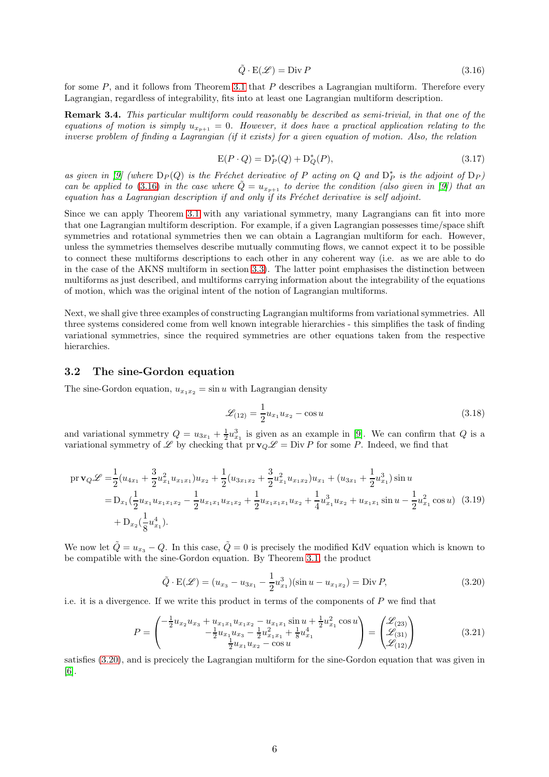<span id="page-5-0"></span>
$$
\tilde{Q} \cdot E(\mathcal{L}) = \text{Div } P \tag{3.16}
$$

for some  $P$ , and it follows from Theorem [3.1](#page-3-5) that  $P$  describes a Lagrangian multiform. Therefore every Lagrangian, regardless of integrability, fits into at least one Lagrangian multiform description.

Remark 3.4. This particular multiform could reasonably be described as semi-trivial, in that one of the equations of motion is simply  $u_{x_{n+1}} = 0$ . However, it does have a practical application relating to the inverse problem of finding a Lagrangian (if it exists) for a given equation of motion. Also, the relation

$$
E(P \cdot Q) = D_P^*(Q) + D_Q^*(P), \tag{3.17}
$$

as given in [\[9\]](#page-13-8) (where  $D_P(Q)$  is the Fréchet derivative of P acting on Q and  $D_P^*$  is the adjoint of  $D_P$ ) can be applied to [\(3.16\)](#page-5-0) in the case where  $\tilde{Q} = u_{x_{p+1}}$  to derive the condition (also given in [\[9\]](#page-13-8)) that an equation has a Lagrangian description if and only if its Fréchet derivative is self adjoint.

Since we can apply Theorem [3.1](#page-3-5) with any variational symmetry, many Lagrangians can fit into more that one Lagrangian multiform description. For example, if a given Lagrangian possesses time/space shift symmetries and rotational symmetries then we can obtain a Lagrangian multiform for each. However, unless the symmetries themselves describe mutually commuting flows, we cannot expect it to be possible to connect these multiforms descriptions to each other in any coherent way (i.e. as we are able to do in the case of the AKNS multiform in section [3.3\)](#page-6-0). The latter point emphasises the distinction between multiforms as just described, and multiforms carrying information about the integrability of the equations of motion, which was the original intent of the notion of Lagrangian multiforms.

Next, we shall give three examples of constructing Lagrangian multiforms from variational symmetries. All three systems considered come from well known integrable hierarchies - this simplifies the task of finding variational symmetries, since the required symmetries are other equations taken from the respective hierarchies.

## 3.2 The sine-Gordon equation

The sine-Gordon equation,  $u_{x_1x_2} = \sin u$  with Lagrangian density

$$
\mathcal{L}_{(12)} = \frac{1}{2} u_{x_1} u_{x_2} - \cos u \tag{3.18}
$$

and variational symmetry  $Q = u_{3x_1} + \frac{1}{2}u_{x_1}^3$  is given as an example in [\[9\]](#page-13-8). We can confirm that Q is a variational symmetry of  $\mathscr L$  by checking that pr  $\mathbf{v}_Q \mathscr L = \text{Div } P$  for some P. Indeed, we find that

$$
\begin{split} \operatorname{pr} \mathbf{v}_{Q} \mathcal{L} &= \frac{1}{2} (u_{4x_1} + \frac{3}{2} u_{x_1}^2 u_{x_1x_1}) u_{x_2} + \frac{1}{2} (u_{3x_1x_2} + \frac{3}{2} u_{x_1}^2 u_{x_1x_2}) u_{x_1} + (u_{3x_1} + \frac{1}{2} u_{x_1}^3) \sin u \\ &= D_{x_1} (\frac{1}{2} u_{x_1} u_{x_1x_1x_2} - \frac{1}{2} u_{x_1x_1} u_{x_1x_2} + \frac{1}{2} u_{x_1x_1x_1} u_{x_2} + \frac{1}{4} u_{x_1}^3 u_{x_2} + u_{x_1x_1} \sin u - \frac{1}{2} u_{x_1}^2 \cos u) \end{split} \tag{3.19}
$$
\n
$$
+ D_{x_2} (\frac{1}{8} u_{x_1}^4).
$$

We now let  $\tilde{Q} = u_{x_3} - Q$ . In this case,  $\tilde{Q} = 0$  is precisely the modified KdV equation which is known to be compatible with the sine-Gordon equation. By Theorem [3.1,](#page-3-5) the product

<span id="page-5-1"></span>
$$
\tilde{Q} \cdot \mathcal{E}(\mathcal{L}) = (u_{x_3} - u_{3x_1} - \frac{1}{2}u_{x_1}^3)(\sin u - u_{x_1x_2}) = \text{Div } P,
$$
\n(3.20)

i.e. it is a divergence. If we write this product in terms of the components of  $P$  we find that

$$
P = \begin{pmatrix} -\frac{1}{2}u_{x_2}u_{x_3} + u_{x_1x_1}u_{x_1x_2} - u_{x_1x_1}\sin u + \frac{1}{2}u_{x_1}^2\cos u \\ -\frac{1}{2}u_{x_1}u_{x_3} - \frac{1}{2}u_{x_1x_1}^2 + \frac{1}{8}u_{x_1}^4 \\ \frac{1}{2}u_{x_1}u_{x_2} - \cos u \end{pmatrix} = \begin{pmatrix} \mathcal{L}_{(23)} \\ \mathcal{L}_{(31)} \\ \mathcal{L}_{(12)} \end{pmatrix}
$$
(3.21)

satisfies [\(3.20\)](#page-5-1), and is precicely the Lagrangian multiform for the sine-Gordon equation that was given in [\[6\]](#page-13-5).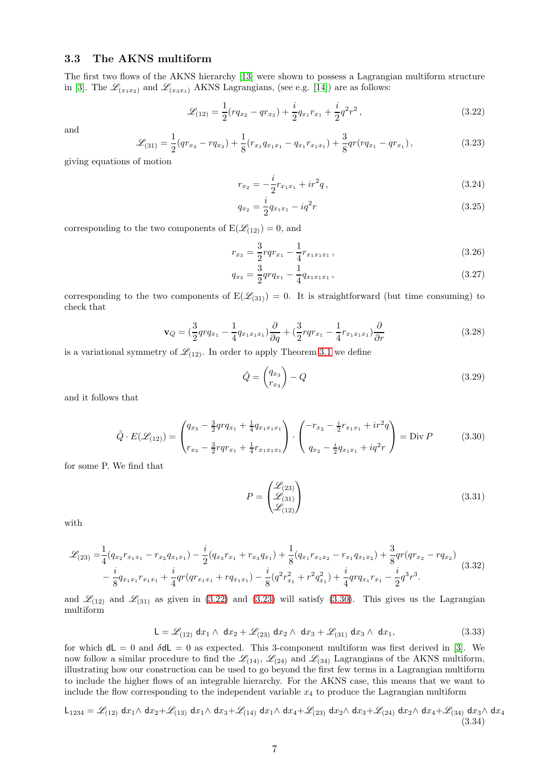## <span id="page-6-0"></span>3.3 The AKNS multiform

The first two flows of the AKNS hierarchy [\[13\]](#page-13-12) were shown to possess a Lagrangian multiform structure in [\[3\]](#page-13-2). The  $\mathscr{L}_{(x_1,x_2)}$  and  $\mathscr{L}_{(x_3x_1)}$  AKNS Lagrangians, (see e.g. [\[14\]](#page-13-13)) are as follows:

<span id="page-6-1"></span>
$$
\mathcal{L}_{(12)} = \frac{1}{2}(rq_{x_2} - qr_{x_2}) + \frac{i}{2}q_{x_1}r_{x_1} + \frac{i}{2}q^2r^2,
$$
\n(3.22)

and

<span id="page-6-2"></span>
$$
\mathcal{L}_{(31)} = \frac{1}{2}(qr_{x_3} - r q_{x_3}) + \frac{1}{8}(r_{x_1}q_{x_1x_1} - q_{x_1}r_{x_1x_1}) + \frac{3}{8}qr(rq_{x_1} - qr_{x_1}),
$$
\n(3.23)

giving equations of motion

$$
r_{x_2} = -\frac{i}{2}r_{x_1x_1} + ir^2q,\tag{3.24}
$$

$$
q_{x_2} = \frac{i}{2} q_{x_1 x_1} - i q^2 r \tag{3.25}
$$

corresponding to the two components of  $E(\mathcal{L}_{(12)}) = 0$ , and

$$
r_{x_3} = \frac{3}{2}rqr_{x_1} - \frac{1}{4}r_{x_1x_1x_1},\tag{3.26}
$$

$$
q_{x_3} = \frac{3}{2}qrq_{x_1} - \frac{1}{4}q_{x_1x_1x_1},
$$
\n(3.27)

corresponding to the two components of  $E(\mathcal{L}_{(31)}) = 0$ . It is straightforward (but time consuming) to check that

$$
\mathbf{v}_Q = \left(\frac{3}{2}qrq_{x_1} - \frac{1}{4}q_{x_1x_1x_1}\right)\frac{\partial}{\partial q} + \left(\frac{3}{2}rqr_{x_1} - \frac{1}{4}r_{x_1x_1x_1}\right)\frac{\partial}{\partial r}
$$
(3.28)

is a variational symmetry of  $\mathcal{L}_{(12)}$ . In order to apply Theorem [3.1](#page-3-5) we define

$$
\tilde{Q} = \begin{pmatrix} q_{x_3} \\ r_{x_3} \end{pmatrix} - Q \tag{3.29}
$$

and it follows that

$$
\tilde{Q} \cdot E(\mathcal{L}_{(12)}) = \begin{pmatrix} q_{x_3} - \frac{3}{2}qrq_{x_1} + \frac{1}{4}q_{x_1x_1x_1} \\ r_{x_3} - \frac{3}{2}rqr_{x_1} + \frac{1}{4}r_{x_1x_1x_1} \end{pmatrix} \cdot \begin{pmatrix} -r_{x_2} - \frac{i}{2}r_{x_1x_1} + ir^2q \\ q_{x_2} - \frac{i}{2}q_{x_1x_1} + iq^2r \end{pmatrix} = \text{Div } P \tag{3.30}
$$

<span id="page-6-3"></span>for some P. We find that

$$
P = \begin{pmatrix} \mathcal{L}_{(23)} \\ \mathcal{L}_{(31)} \\ \mathcal{L}_{(12)} \end{pmatrix} \tag{3.31}
$$

with

$$
\mathcal{L}_{(23)} = \frac{1}{4} (q_{x_2} r_{x_1 x_1} - r_{x_2} q_{x_1 x_1}) - \frac{i}{2} (q_{x_3} r_{x_1} + r_{x_3} q_{x_1}) + \frac{1}{8} (q_{x_1} r_{x_1 x_2} - r_{x_1} q_{x_1 x_2}) + \frac{3}{8} q r (q r_{x_2} - r q_{x_2})
$$
  

$$
- \frac{i}{8} q_{x_1 x_1} r_{x_1 x_1} + \frac{i}{4} q r (q r_{x_1 x_1} + r q_{x_1 x_1}) - \frac{i}{8} (q^2 r_{x_1}^2 + r^2 q_{x_1}^2) + \frac{i}{4} q r q_{x_1} r_{x_1} - \frac{i}{2} q^3 r^3.
$$
 (3.32)

and  $\mathcal{L}_{(12)}$  and  $\mathcal{L}_{(31)}$  as given in [\(3.22\)](#page-6-1) and [\(3.23\)](#page-6-2) will satisfy [\(3.30\)](#page-6-3). This gives us the Lagrangian multiform

$$
\mathsf{L} = \mathscr{L}_{(12)} \, \mathrm{d}x_1 \wedge \, \mathrm{d}x_2 + \mathscr{L}_{(23)} \, \mathrm{d}x_2 \wedge \, \mathrm{d}x_3 + \mathscr{L}_{(31)} \, \mathrm{d}x_3 \wedge \, \mathrm{d}x_1,\tag{3.33}
$$

for which  $d\mathsf{L} = 0$  and  $\delta d\mathsf{L} = 0$  as expected. This 3-component multiform was first derived in [\[3\]](#page-13-2). We now follow a similar procedure to find the  $\mathcal{L}_{(14)}$ ,  $\mathcal{L}_{(24)}$  and  $\mathcal{L}_{(34)}$  Lagrangians of the AKNS multiform, illustrating how our construction can be used to go beyond the first few terms in a Lagrangian multiform to include the higher flows of an integrable hierarchy. For the AKNS case, this means that we want to include the flow corresponding to the independent variable  $x_4$  to produce the Lagrangian multiform

<span id="page-6-4"></span>
$$
\mathsf{L}_{1234} = \mathscr{L}_{(12)} \, \mathrm{d}x_1 \wedge \mathrm{d}x_2 + \mathscr{L}_{(13)} \, \mathrm{d}x_1 \wedge \mathrm{d}x_3 + \mathscr{L}_{(14)} \, \mathrm{d}x_1 \wedge \mathrm{d}x_4 + \mathscr{L}_{(23)} \, \mathrm{d}x_2 \wedge \mathrm{d}x_3 + \mathscr{L}_{(24)} \, \mathrm{d}x_2 \wedge \mathrm{d}x_4 + \mathscr{L}_{(34)} \, \mathrm{d}x_3 \wedge \mathrm{d}x_4 \tag{3.34}
$$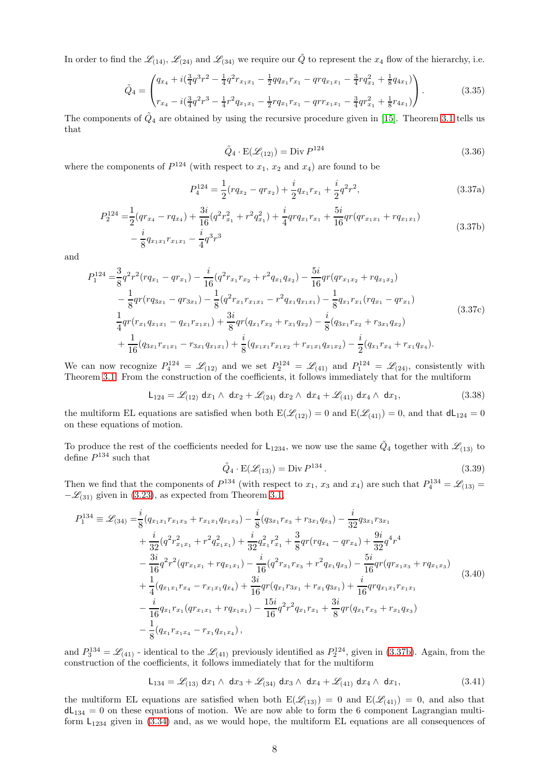In order to find the  $\mathcal{L}_{(14)}$ ,  $\mathcal{L}_{(24)}$  and  $\mathcal{L}_{(34)}$  we require our  $\tilde{Q}$  to represent the  $x_4$  flow of the hierarchy, i.e.

$$
\tilde{Q}_4 = \begin{pmatrix} q_{x_4} + i(\frac{3}{4}q^3r^2 - \frac{1}{4}q^2r_{x_1x_1} - \frac{1}{2}qq_{x_1}r_{x_1} - qrq_{x_1x_1} - \frac{3}{4}rq_{x_1}^2 + \frac{1}{8}q_{4x_1}) \\ r_{x_4} - i(\frac{3}{4}q^2r^3 - \frac{1}{4}r^2q_{x_1x_1} - \frac{1}{2}rq_{x_1}r_{x_1} - qrr_{x_1x_1} - \frac{3}{4}qr_{x_1}^2 + \frac{1}{8}r_{4x_1}) \end{pmatrix} . \tag{3.35}
$$

The components of  $\tilde{Q}_4$  are obtained by using the recursive procedure given in [\[15\]](#page-13-14). Theorem [3.1](#page-3-5) tells us that

$$
\tilde{Q}_4 \cdot \mathcal{E}(\mathcal{L}_{(12)}) = \text{Div } P^{124} \tag{3.36}
$$

where the components of  $P^{124}$  (with respect to  $x_1, x_2$  and  $x_4$ ) are found to be

$$
P_4^{124} = \frac{1}{2}(rq_{x_2} - qr_{x_2}) + \frac{i}{2}q_{x_1}r_{x_1} + \frac{i}{2}q^2r^2,
$$
\n(3.37a)

$$
P_2^{124} = \frac{1}{2}(qr_{x_4} - rq_{x_4}) + \frac{3i}{16}(q^2r_{x_1}^2 + r^2q_{x_1}^2) + \frac{i}{4}qrq_{x_1}r_{x_1} + \frac{5i}{16}qr(qr_{x_1x_1} + rq_{x_1x_1}) - \frac{i}{8}q_{x_1x_1}r_{x_1x_1} - \frac{i}{4}q^3r^3
$$
\n(3.37b)

<span id="page-7-0"></span>and

$$
P_{1}^{124} = \frac{3}{8}q^{2}r^{2}(rq_{x_{1}} - qr_{x_{1}}) - \frac{i}{16}(q^{2}r_{x_{1}}r_{x_{2}} + r^{2}q_{x_{1}}q_{x_{2}}) - \frac{5i}{16}qr(qr_{x_{1}x_{2}} + rq_{x_{1}x_{2}})
$$
  
\n
$$
- \frac{1}{8}qr(rq_{3x_{1}} - qr_{3x_{1}}) - \frac{1}{8}(q^{2}r_{x_{1}}r_{x_{1}x_{1}} - r^{2}q_{x_{1}}q_{x_{1}x_{1}}) - \frac{1}{8}q_{x_{1}}r_{x_{1}}(rq_{x_{1}} - qr_{x_{1}})
$$
  
\n
$$
\frac{1}{4}qr(r_{x_{1}}q_{x_{1}x_{1}} - q_{x_{1}}r_{x_{1}x_{1}}) + \frac{3i}{8}qr(q_{x_{1}}r_{x_{2}} + r_{x_{1}}q_{x_{2}}) - \frac{i}{8}(q_{3x_{1}}r_{x_{2}} + r_{3x_{1}}q_{x_{2}})
$$
  
\n
$$
+ \frac{1}{16}(q_{3x_{1}}r_{x_{1}x_{1}} - r_{3x_{1}}q_{x_{1}x_{1}}) + \frac{i}{8}(q_{x_{1}x_{1}}r_{x_{1}x_{2}} + r_{x_{1}x_{1}}q_{x_{1}x_{2}}) - \frac{i}{2}(q_{x_{1}}r_{x_{4}} + r_{x_{1}}q_{x_{4}}).
$$
\n(3.37c)

We can now recognize  $P_4^{124} = \mathscr{L}_{(12)}$  and we set  $P_2^{124} = \mathscr{L}_{(41)}$  and  $P_1^{124} = \mathscr{L}_{(24)}$ , consistently with Theorem [3.1.](#page-3-5) From the construction of the coefficients, it follows immediately that for the multiform

$$
L_{124} = \mathscr{L}_{(12)} \, dx_1 \wedge dx_2 + \mathscr{L}_{(24)} \, dx_2 \wedge dx_4 + \mathscr{L}_{(41)} \, dx_4 \wedge dx_1, \tag{3.38}
$$

the multiform EL equations are satisfied when both  $E(\mathcal{L}_{(12)}) = 0$  and  $E(\mathcal{L}_{(41)}) = 0$ , and that  $dL_{124} = 0$ on these equations of motion.

To produce the rest of the coefficients needed for  $L_{1234}$ , we now use the same  $\tilde{Q}_4$  together with  $\mathscr{L}_{(13)}$  to define  $P^{134}$  such that

$$
\tilde{Q}_4 \cdot \mathcal{E}(\mathcal{L}_{(13)}) = \text{Div } P^{134} \,. \tag{3.39}
$$

Then we find that the components of  $P^{134}$  (with respect to  $x_1, x_3$  and  $x_4$ ) are such that  $P_4^{134} = \mathscr{L}_{(13)} =$  $-\mathcal{L}_{(31)}$  given in [\(3.23\)](#page-6-2), as expected from Theorem [3.1,](#page-3-5)

$$
P_{1}^{134} \equiv \mathcal{L}_{(34)} = \frac{i}{8} (q_{x_{1}x_{1}} r_{x_{1}x_{3}} + r_{x_{1}x_{1}} q_{x_{1}x_{3}}) - \frac{i}{8} (q_{3x_{1}} r_{x_{3}} + r_{3x_{1}} q_{x_{3}}) - \frac{i}{32} q_{3x_{1}} r_{3x_{1}} + \frac{i}{32} (q^{2} r_{x_{1}x_{1}}^{2} + r^{2} q_{x_{1}x_{1}}^{2}) + \frac{i}{32} q_{x_{1}}^{2} r_{x_{1}}^{2} + \frac{3}{8} q r (r q_{x_{4}} - q r_{x_{4}}) + \frac{9i}{32} q^{4} r^{4} - \frac{3i}{16} q^{2} r^{2} (q r_{x_{1}x_{1}} + r q_{x_{1}x_{1}}) - \frac{i}{16} (q^{2} r_{x_{1}} r_{x_{3}} + r^{2} q_{x_{1}} q_{x_{3}}) - \frac{5i}{16} q r (q r_{x_{1}x_{3}} + r q_{x_{1}x_{3}}) + \frac{1}{4} (q_{x_{1}x_{1}} r_{x_{4}} - r_{x_{1}x_{1}} q_{x_{4}}) + \frac{3i}{16} q r (q_{x_{1}} r_{3x_{1}} + r_{x_{1}} q_{3x_{1}}) + \frac{i}{16} q r q_{x_{1}x_{1}} r_{x_{1}x_{1}} - \frac{i}{16} q_{x_{1}} r_{x_{1}} (q r_{x_{1}x_{1}} + r q_{x_{1}x_{1}}) - \frac{15i}{16} q^{2} r^{2} q_{x_{1}} r_{x_{1}} + \frac{3i}{8} q r (q_{x_{1}} r_{x_{3}} + r_{x_{1}} q_{x_{3}}) - \frac{1}{8} (q_{x_{1}} r_{x_{1}x_{4}} - r_{x_{1}} q_{x_{1}x_{4}}),
$$
\n(3.40)

and  $P_3^{134} = \mathscr{L}_{(41)}$  - identical to the  $\mathscr{L}_{(41)}$  previously identified as  $P_2^{124}$ , given in [\(3.37b\)](#page-7-0). Again, from the construction of the coefficients, it follows immediately that for the multiform

$$
L_{134} = \mathcal{L}_{(13)} \, dx_1 \wedge dx_3 + \mathcal{L}_{(34)} \, dx_3 \wedge dx_4 + \mathcal{L}_{(41)} \, dx_4 \wedge dx_1, \tag{3.41}
$$

the multiform EL equations are satisfied when both  $E(\mathcal{L}_{(13)}) = 0$  and  $E(\mathcal{L}_{(41)}) = 0$ , and also that  $dL_{134} = 0$  on these equations of motion. We are now able to form the 6 component Lagrangian multiform  $L_{1234}$  given in [\(3.34\)](#page-6-4) and, as we would hope, the multiform EL equations are all consequences of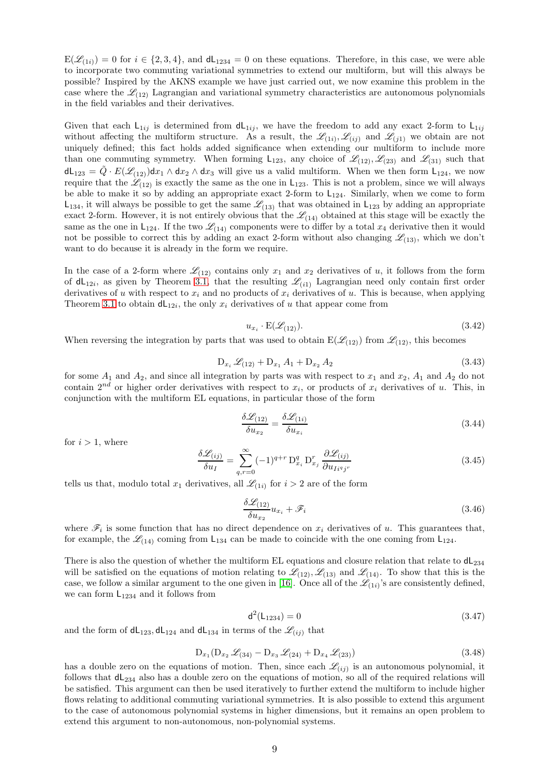$E(\mathcal{L}_{(1i)}) = 0$  for  $i \in \{2,3,4\}$ , and  $dL_{1234} = 0$  on these equations. Therefore, in this case, we were able to incorporate two commuting variational symmetries to extend our multiform, but will this always be possible? Inspired by the AKNS example we have just carried out, we now examine this problem in the case where the  $\mathcal{L}_{(12)}$  Lagrangian and variational symmetry characteristics are autonomous polynomials in the field variables and their derivatives.

Given that each  $L_{1ij}$  is determined from  $dL_{1ij}$ , we have the freedom to add any exact 2-form to  $L_{1ij}$ without affecting the multiform structure. As a result, the  $\mathscr{L}_{(1i)}, \mathscr{L}_{(ij)}$  and  $\mathscr{L}_{(j1)}$  we obtain are not uniquely defined; this fact holds added significance when extending our multiform to include more than one commuting symmetry. When forming  $L_{123}$ , any choice of  $\mathcal{L}_{(12)}, \mathcal{L}_{(23)}$  and  $\mathcal{L}_{(31)}$  such that  $dL_{123} = \tilde{Q} \cdot E(\mathcal{L}_{12})dx_1 \wedge dx_2 \wedge dx_3$  will give us a valid multiform. When we then form  $L_{124}$ , we now require that the  $\mathscr{L}_{(12)}$  is exactly the same as the one in L<sub>123</sub>. This is not a problem, since we will always be able to make it so by adding an appropriate exact 2-form to  $L_{124}$ . Similarly, when we come to form  $L_{134}$ , it will always be possible to get the same  $\mathcal{L}_{(13)}$  that was obtained in  $L_{123}$  by adding an appropriate exact 2-form. However, it is not entirely obvious that the  $\mathcal{L}_{(14)}$  obtained at this stage will be exactly the same as the one in  $L_{124}$ . If the two  $\mathcal{L}_{(14)}$  components were to differ by a total  $x_4$  derivative then it would not be possible to correct this by adding an exact 2-form without also changing  $\mathscr{L}_{(13)}$ , which we don't want to do because it is already in the form we require.

In the case of a 2-form where  $\mathcal{L}_{(12)}$  contains only  $x_1$  and  $x_2$  derivatives of u, it follows from the form of  $dL_{12i}$ , as given by Theorem [3.1,](#page-3-5) that the resulting  $\mathscr{L}_{(i1)}$  Lagrangian need only contain first order derivatives of u with respect to  $x_i$  and no products of  $x_i$  derivatives of u. This is because, when applying Theorem [3.1](#page-3-5) to obtain  $dL_{12i}$ , the only  $x_i$  derivatives of u that appear come from

$$
u_{x_i} \cdot \mathcal{E}(\mathcal{L}_{(12)}). \tag{3.42}
$$

When reversing the integration by parts that was used to obtain  $E(\mathscr{L}_{(12)})$  from  $\mathscr{L}_{(12)}$ , this becomes

$$
D_{x_i} \mathcal{L}_{(12)} + D_{x_1} A_1 + D_{x_2} A_2 \tag{3.43}
$$

for some  $A_1$  and  $A_2$ , and since all integration by parts was with respect to  $x_1$  and  $x_2$ ,  $A_1$  and  $A_2$  do not contain  $2^{nd}$  or higher order derivatives with respect to  $x_i$ , or products of  $x_i$  derivatives of u. This, in conjunction with the multiform EL equations, in particular those of the form

$$
\frac{\delta \mathcal{L}_{(12)}}{\delta u_{x_2}} = \frac{\delta \mathcal{L}_{(1i)}}{\delta u_{x_i}} \tag{3.44}
$$

for  $i > 1$ , where

$$
\frac{\delta \mathcal{L}_{(ij)}}{\delta u_I} = \sum_{q,r=0}^{\infty} (-1)^{q+r} \mathcal{D}_{x_i}^q \mathcal{D}_{x_j}^r \frac{\partial \mathcal{L}_{(ij)}}{\partial u_{I_i^q j^r}}
$$
(3.45)

tells us that, modulo total  $x_1$  derivatives, all  $\mathscr{L}_{(1i)}$  for  $i > 2$  are of the form

$$
\frac{\delta \mathcal{L}_{(12)}}{\delta u_{x_2}} u_{x_i} + \mathcal{F}_i \tag{3.46}
$$

where  $\mathscr{F}_i$  is some function that has no direct dependence on  $x_i$  derivatives of u. This guarantees that, for example, the  $\mathcal{L}_{(14)}$  coming from L<sub>134</sub> can be made to coincide with the one coming from L<sub>124</sub>.

There is also the question of whether the multiform EL equations and closure relation that relate to  $dL_{234}$ will be satisfied on the equations of motion relating to  $\mathcal{L}_{(12)}, \mathcal{L}_{(13)}$  and  $\mathcal{L}_{(14)}$ . To show that this is the case, we follow a similar argument to the one given in [\[16\]](#page-13-15). Once all of the  $\mathscr{L}_{(1i)}$ 's are consistently defined, we can form  $L_{1234}$  and it follows from

$$
d^2(L_{1234}) = 0 \tag{3.47}
$$

and the form of  $dL_{123}$ ,  $dL_{124}$  and  $dL_{134}$  in terms of the  $\mathcal{L}_{(ii)}$  that

$$
D_{x_1}(D_{x_2} \mathcal{L}_{(34)} - D_{x_3} \mathcal{L}_{(24)} + D_{x_4} \mathcal{L}_{(23)})
$$
\n(3.48)

has a double zero on the equations of motion. Then, since each  $\mathscr{L}_{(ij)}$  is an autonomous polynomial, it follows that  $dL_{234}$  also has a double zero on the equations of motion, so all of the required relations will be satisfied. This argument can then be used iteratively to further extend the multiform to include higher flows relating to additional commuting variational symmetries. It is also possible to extend this argument to the case of autonomous polynomial systems in higher dimensions, but it remains an open problem to extend this argument to non-autonomous, non-polynomial systems.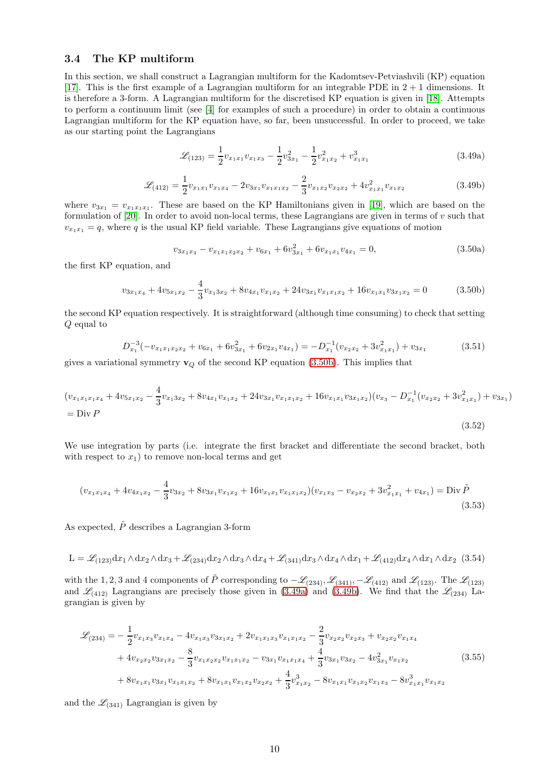# 3.4 The KP multiform

In this section, we shall construct a Lagrangian multiform for the Kadomtsev-Petviashvili (KP) equation [\[17\]](#page-14-0). This is the first example of a Lagrangian multiform for an integrable PDE in  $2 + 1$  dimensions. It is therefore a 3-form. A Lagrangian multiform for the discretised KP equation is given in [\[18\]](#page-14-1). Attempts to perform a continuum limit (see [\[4\]](#page-13-3) for examples of such a procedure) in order to obtain a continuous Lagrangian multiform for the KP equation have, so far, been unsuccessful. In order to proceed, we take as our starting point the Lagrangians

<span id="page-9-1"></span>
$$
\mathcal{L}_{(123)} = \frac{1}{2} v_{x_1 x_1} v_{x_1 x_3} - \frac{1}{2} v_{3x_1}^2 - \frac{1}{2} v_{x_1 x_2}^2 + v_{x_1 x_1}^3 \tag{3.49a}
$$

<span id="page-9-2"></span>
$$
\mathcal{L}_{(412)} = \frac{1}{2} v_{x_1x_1} v_{x_1x_4} - 2v_{3x_1} v_{x_1x_1x_2} - \frac{2}{3} v_{x_1x_2} v_{x_2x_2} + 4v_{x_1x_1}^2 v_{x_1x_2}
$$
(3.49b)

where  $v_{3x_1} = v_{x_1x_1x_1}$ . These are based on the KP Hamiltonians given in [\[19\]](#page-14-2), which are based on the formulation of  $[20]$ . In order to avoid non-local terms, these Lagrangians are given in terms of v such that  $v_{x_1x_1} = q$ , where q is the usual KP field variable. These Lagrangians give equations of motion

<span id="page-9-4"></span>
$$
v_{3x_1x_3} - v_{x_1x_1x_2x_2} + v_{6x_1} + 6v_{3x_1}^2 + 6v_{x_1x_1}v_{4x_1} = 0,
$$
\n(3.50a)

(3.52)

the first KP equation, and

<span id="page-9-0"></span>
$$
v_{3x_1x_4} + 4v_{5x_1x_2} - \frac{4}{3}v_{x_13x_2} + 8v_{4x_1}v_{x_1x_2} + 24v_{3x_1}v_{x_1x_1x_2} + 16v_{x_1x_1}v_{3x_1x_2} = 0
$$
 (3.50b)

the second KP equation respectively. It is straightforward (although time consuming) to check that setting Q equal to

$$
D_{x_1}^{-3}(-v_{x_1x_1x_2x_2} + v_{6x_1} + 6v_{3x_1}^2 + 6v_{2x_1}v_{4x_1}) = -D_{x_1}^{-1}(v_{x_2x_2} + 3v_{x_1x_1}^2) + v_{3x_1}
$$
(3.51)

gives a variational symmetry  $\mathbf{v}_Q$  of the second KP equation [\(3.50b\)](#page-9-0). This implies that

$$
(v_{x_1x_1x_1x_4} + 4v_{5x_1x_2} - \frac{4}{3}v_{x_13x_2} + 8v_{4x_1}v_{x_1x_2} + 24v_{3x_1}v_{x_1x_1x_2} + 16v_{x_1x_1}v_{3x_1x_2})(v_{x_3} - D_{x_1}^{-1}(v_{x_2x_2} + 3v_{x_1x_1}^2) + v_{3x_1})
$$
  
= Div P

We use integration by parts (i.e. integrate the first bracket and differentiate the second bracket, both with respect to  $x_1$ ) to remove non-local terms and get

<span id="page-9-3"></span>
$$
(v_{x_1x_1x_4} + 4v_{4x_1x_2} - \frac{4}{3}v_{3x_2} + 8v_{3x_1}v_{x_1x_2} + 16v_{x_1x_1}v_{x_1x_1x_2})(v_{x_1x_3} - v_{x_2x_2} + 3v_{x_1x_1}^2 + v_{4x_1}) = \text{Div}\,\tilde{P}
$$
\n(3.53)

As expected,  $\tilde{P}$  describes a Lagrangian 3-form

$$
L = \mathcal{L}_{(123)}dx_1 \wedge dx_2 \wedge dx_3 + \mathcal{L}_{(234)}dx_2 \wedge dx_3 \wedge dx_4 + \mathcal{L}_{(341)}dx_3 \wedge dx_4 \wedge dx_1 + \mathcal{L}_{(412)}dx_4 \wedge dx_1 \wedge dx_2
$$
 (3.54)

with the 1, 2, 3 and 4 components of  $\tilde{P}$  corresponding to  $-\mathscr{L}_{(234)}, \mathscr{L}_{(341)}, -\mathscr{L}_{(412)}$  and  $\mathscr{L}_{(123)}$ . The  $\mathscr{L}_{(123)}$ and  $\mathscr{L}_{(412)}$  Lagrangians are precisely those given in [\(3.49a\)](#page-9-1) and [\(3.49b\)](#page-9-2). We find that the  $\mathscr{L}_{(234)}$  Lagrangian is given by

$$
\mathcal{L}_{(234)} = -\frac{1}{2}v_{x_1x_3}v_{x_1x_4} - 4v_{x_1x_3}v_{3x_1x_2} + 2v_{x_1x_1x_3}v_{x_1x_1x_2} - \frac{2}{3}v_{x_2x_2}v_{x_2x_3} + v_{x_2x_2}v_{x_1x_4}
$$
  
+  $4v_{x_2x_2}v_{3x_1x_2} - \frac{8}{3}v_{x_1x_2x_2}v_{x_1x_1x_2} - v_{3x_1}v_{x_1x_1x_4} + \frac{4}{3}v_{3x_1}v_{3x_2} - 4v_{3x_1}^2v_{x_1x_2}$  (3.55)  
+  $8v_{x_1x_1}v_{3x_1}v_{x_1x_1x_2} + 8v_{x_1x_1}v_{x_1x_2}v_{x_2x_2} + \frac{4}{3}v_{x_1x_2}^3 - 8v_{x_1x_1}v_{x_1x_2}v_{x_1x_3} - 8v_{x_1x_1}^3v_{x_1x_2}$ 

and the  $\mathcal{L}_{(341)}$  Lagrangian is given by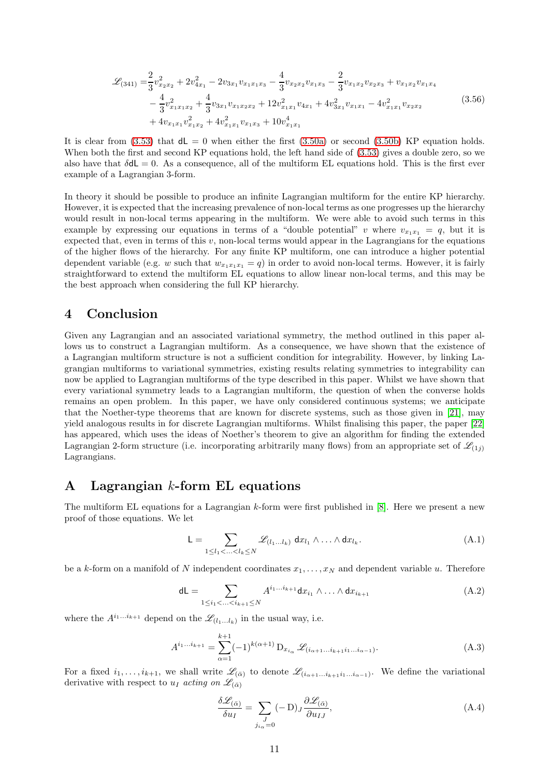$$
\mathcal{L}_{(341)} = \frac{2}{3}v_{x_2x_2}^2 + 2v_{4x_1}^2 - 2v_{3x_1}v_{x_1x_1x_3} - \frac{4}{3}v_{x_2x_2}v_{x_1x_3} - \frac{2}{3}v_{x_1x_2}v_{x_2x_3} + v_{x_1x_2}v_{x_1x_4}
$$

$$
- \frac{4}{3}v_{x_1x_1x_2}^2 + \frac{4}{3}v_{3x_1}v_{x_1x_2x_2} + 12v_{x_1x_1}^2v_{4x_1} + 4v_{3x_1}^2v_{x_1x_1} - 4v_{x_1x_1}^2v_{x_2x_2}
$$

$$
+ 4v_{x_1x_1}v_{x_1x_2}^2 + 4v_{x_1x_1}^2v_{x_1x_3} + 10v_{x_1x_1}^4
$$
\n(3.56)

It is clear from  $(3.53)$  that  $dL = 0$  when either the first  $(3.50a)$  or second  $(3.50b)$  KP equation holds. When both the first and second KP equations hold, the left hand side of [\(3.53\)](#page-9-3) gives a double zero, so we also have that  $\delta dL = 0$ . As a consequence, all of the multiform EL equations hold. This is the first ever example of a Lagrangian 3-form.

In theory it should be possible to produce an infinite Lagrangian multiform for the entire KP hierarchy. However, it is expected that the increasing prevalence of non-local terms as one progresses up the hierarchy would result in non-local terms appearing in the multiform. We were able to avoid such terms in this example by expressing our equations in terms of a "double potential" v where  $v_{x_1x_1} = q$ , but it is expected that, even in terms of this  $v$ , non-local terms would appear in the Lagrangians for the equations of the higher flows of the hierarchy. For any finite KP multiform, one can introduce a higher potential dependent variable (e.g. w such that  $w_{x_1x_1x_1} = q$ ) in order to avoid non-local terms. However, it is fairly straightforward to extend the multiform EL equations to allow linear non-local terms, and this may be the best approach when considering the full KP hierarchy.

# 4 Conclusion

Given any Lagrangian and an associated variational symmetry, the method outlined in this paper allows us to construct a Lagrangian multiform. As a consequence, we have shown that the existence of a Lagrangian multiform structure is not a sufficient condition for integrability. However, by linking Lagrangian multiforms to variational symmetries, existing results relating symmetries to integrability can now be applied to Lagrangian multiforms of the type described in this paper. Whilst we have shown that every variational symmetry leads to a Lagrangian multiform, the question of when the converse holds remains an open problem. In this paper, we have only considered continuous systems; we anticipate that the Noether-type theorems that are known for discrete systems, such as those given in [\[21\]](#page-14-4), may yield analogous results in for discrete Lagrangian multiforms. Whilst finalising this paper, the paper [\[22\]](#page-14-5) has appeared, which uses the ideas of Noether's theorem to give an algorithm for finding the extended Lagrangian 2-form structure (i.e. incorporating arbitrarily many flows) from an appropriate set of  $\mathcal{L}_{(1i)}$ Lagrangians.

# <span id="page-10-0"></span>A Lagrangian k-form EL equations

The multiform EL equations for a Lagrangian k-form were first published in [\[8\]](#page-13-7). Here we present a new proof of those equations. We let

<span id="page-10-1"></span>
$$
\mathsf{L} = \sum_{1 \leq l_1 < \ldots < l_k \leq N} \mathscr{L}_{(l_1 \ldots l_k)} \, \mathrm{d}x_{l_1} \wedge \ldots \wedge \mathrm{d}x_{l_k}.\tag{A.1}
$$

be a k-form on a manifold of N independent coordinates  $x_1, \ldots, x_N$  and dependent variable u. Therefore

$$
dL = \sum_{1 \le i_1 < \ldots < i_{k+1} \le N} A^{i_1 \ldots i_{k+1}} dx_{i_1} \wedge \ldots \wedge dx_{i_{k+1}} \tag{A.2}
$$

where the  $A^{i_1...i_{k+1}}$  depend on the  $\mathscr{L}_{(l_1...l_k)}$  in the usual way, i.e.

$$
A^{i_1...i_{k+1}} = \sum_{\alpha=1}^{k+1} (-1)^{k(\alpha+1)} \mathcal{D}_{x_{i_\alpha}} \mathcal{L}_{(i_{\alpha+1}...i_{k+1}i_1...i_{\alpha-1})}.
$$
 (A.3)

For a fixed  $i_1,\ldots,i_{k+1}$ , we shall write  $\mathscr{L}_{(\bar{\alpha})}$  to denote  $\mathscr{L}_{(i_{\alpha+1}\ldots i_{k+1}i_1\ldots i_{\alpha-1})}$ . We define the variational derivative with respect to  $u_I$  acting on  $\mathscr{L}_{(\bar{\alpha})}$ 

<span id="page-10-2"></span>
$$
\frac{\delta \mathcal{L}_{(\bar{\alpha})}}{\delta u_I} = \sum_{\substack{J \\ j_{i_{\alpha}}=0}} (-D)_J \frac{\partial \mathcal{L}_{(\bar{\alpha})}}{\partial u_{IJ}},\tag{A.4}
$$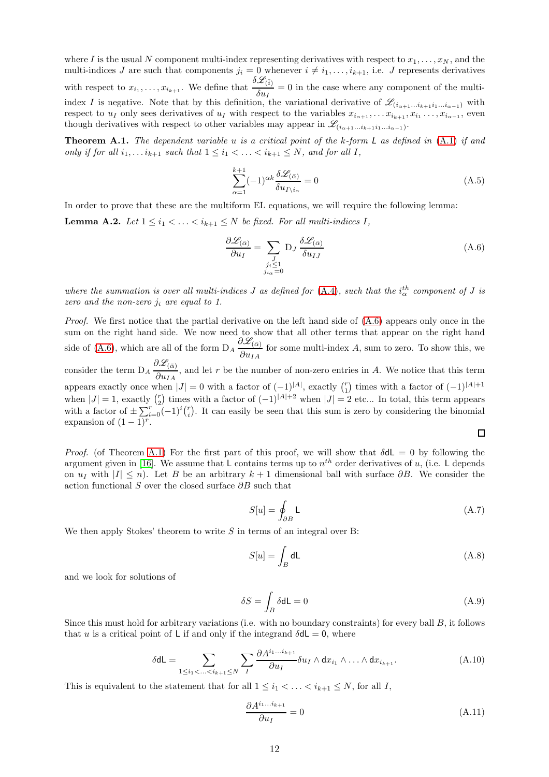where I is the usual N component multi-index representing derivatives with respect to  $x_1, \ldots, x_N$ , and the multi-indices J are such that components  $j_i = 0$  whenever  $i \neq i_1, \ldots, i_{k+1}$ , i.e. J represents derivatives with respect to  $x_{i_1}, \ldots, x_{i_{k+1}}$ . We define that  $\frac{\delta \mathscr{L}_{(\bar{i})}}{\delta \omega}$  $\frac{\partial u}{\partial u_I} = 0$  in the case where any component of the multiindex I is negative. Note that by this definition, the variational derivative of  $\mathscr{L}_{(i_{\alpha+1}...i_{k+1}i_1...i_{\alpha-1})}$  with respect to  $u_I$  only sees derivatives of  $u_I$  with respect to the variables  $x_{i_{\alpha+1}}, \ldots, x_{i_{k+1}}, x_{i_1} \ldots, x_{i_{\alpha-1}}$ , even though derivatives with respect to other variables may appear in  $\mathscr{L}_{(i_{\alpha+1}...i_{k+1}i_1...i_{\alpha-1})}$ .

<span id="page-11-2"></span>**Theorem A.1.** The dependent variable u is a critical point of the  $k$ -form  $L$  as defined in  $(A.1)$  if and only if for all  $i_1, \ldots i_{k+1}$  such that  $1 \leq i_1 < \ldots < i_{k+1} \leq N$ , and for all I,

<span id="page-11-3"></span>
$$
\sum_{\alpha=1}^{k+1} (-1)^{\alpha k} \frac{\delta \mathcal{L}_{(\bar{\alpha})}}{\delta u_{I \setminus i_{\alpha}}} = 0
$$
\n(A.5)

In order to prove that these are the multiform EL equations, we will require the following lemma:

**Lemma A.2.** Let  $1 \leq i_1 < \ldots < i_{k+1} \leq N$  be fixed. For all multi-indices I,

<span id="page-11-1"></span>
$$
\frac{\partial \mathcal{L}_{(\bar{\alpha})}}{\partial u_I} = \sum_{\substack{J \\ j_i \le 1 \\ j_{i_{\alpha}} = 0}} \mathcal{D}_J \frac{\delta \mathcal{L}_{(\bar{\alpha})}}{\delta u_{IJ}}
$$
(A.6)

where the summation is over all multi-indices  $J$  as defined for  $(A.4)$ , such that the  $i_{\alpha}^{th}$  component of  $J$  is zero and the non-zero  $j_i$  are equal to 1.

Proof. We first notice that the partial derivative on the left hand side of [\(A.6\)](#page-11-1) appears only once in the sum on the right hand side. We now need to show that all other terms that appear on the right hand side of [\(A.6\)](#page-11-1), which are all of the form  $D_A \frac{\partial \mathcal{L}_{(\bar{\alpha})}}{\partial \bar{\alpha}}$  $\frac{\partial u}{\partial u_{IA}}$  for some multi-index A, sum to zero. To show this, we consider the term  $D_A \frac{\partial \mathcal{L}_{(\bar{\alpha})}}{\partial \mu}$  $\frac{\partial u}{\partial u_{IA}}$ , and let r be the number of non-zero entries in A. We notice that this term appears exactly once when  $|J| = 0$  with a factor of  $(-1)^{|A|}$ , exactly  $\binom{r}{1}$  times with a factor of  $(-1)^{|A|+1}$ when  $|J| = 1$ , exactly  $\binom{r}{2}$  times with a factor of  $(-1)^{|A|+2}$  when  $|J| = 2$  etc... In total, this term appears with a factor of  $\pm \sum_{i=0}^{r} (-1)^{i} {r \choose i}$ . It can easily be seen that this sum is zero by considering the binomial expansion of  $(1-1)^r$ .

$$
\Box
$$

*Proof.* (of Theorem [A.1\)](#page-11-2) For the first part of this proof, we will show that  $\delta dL = 0$  by following the argument given in [\[16\]](#page-13-15). We assume that L contains terms up to  $n^{th}$  order derivatives of u, (i.e. L depends on  $u_I$  with  $|I| \leq n$ ). Let B be an arbitrary  $k + 1$  dimensional ball with surface  $\partial B$ . We consider the action functional S over the closed surface  $\partial B$  such that

$$
S[u] = \oint_{\partial B} \mathsf{L} \tag{A.7}
$$

We then apply Stokes' theorem to write  $S$  in terms of an integral over B:

$$
S[u] = \int_B dL \tag{A.8}
$$

and we look for solutions of

$$
\delta S = \int_{B} \delta \mathbf{d} \mathsf{L} = 0 \tag{A.9}
$$

Since this must hold for arbitrary variations (i.e. with no boundary constraints) for every ball  $B$ , it follows that u is a critical point of L if and only if the integrand  $\delta dL = 0$ , where

$$
\delta \mathsf{dL} = \sum_{1 \le i_1 < \ldots < i_{k+1} \le N} \sum_{I} \frac{\partial A^{i_1 \ldots i_{k+1}}}{\partial u_I} \delta u_I \wedge dx_{i_1} \wedge \ldots \wedge dx_{i_{k+1}}.\tag{A.10}
$$

This is equivalent to the statement that for all  $1 \leq i_1 < \ldots < i_{k+1} \leq N$ , for all I,

<span id="page-11-0"></span>
$$
\frac{\partial A^{i_1...i_{k+1}}}{\partial u_I} = 0 \tag{A.11}
$$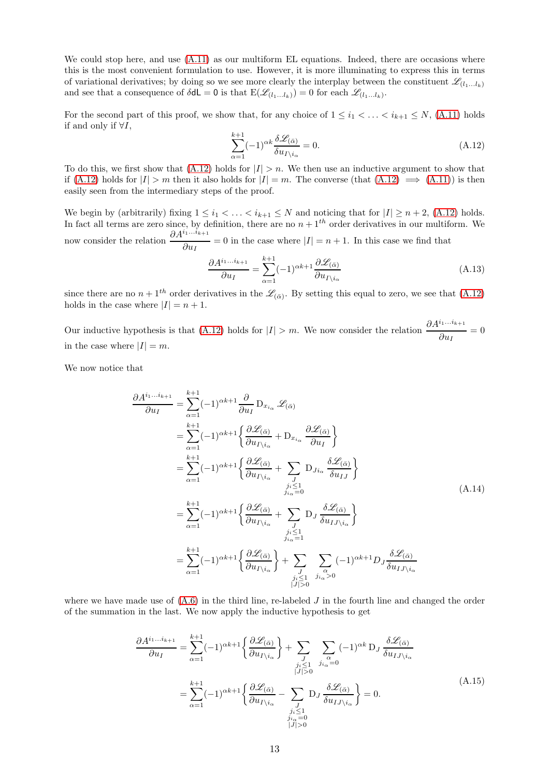We could stop here, and use  $(A.11)$  as our multiform EL equations. Indeed, there are occasions where this is the most convenient formulation to use. However, it is more illuminating to express this in terms of variational derivatives; by doing so we see more clearly the interplay between the constituent  $\mathscr{L}_{(l_1...l_k)}$ and see that a consequence of  $\delta d\mathsf{L} = 0$  is that  $\mathrm{E}(\mathscr{L}_{(l_1...l_k)}) = 0$  for each  $\mathscr{L}_{(l_1...l_k)}$ .

For the second part of this proof, we show that, for any choice of  $1 \leq i_1 < \ldots < i_{k+1} \leq N$ , [\(A.11\)](#page-11-0) holds if and only if  $\forall I$ ,

<span id="page-12-0"></span>
$$
\sum_{\alpha=1}^{k+1} (-1)^{\alpha k} \frac{\delta \mathcal{L}_{(\bar{\alpha})}}{\delta u_{I \backslash i_{\alpha}}} = 0.
$$
\n(A.12)

To do this, we first show that  $(A.12)$  holds for  $|I| > n$ . We then use an inductive argument to show that if [\(A.12\)](#page-12-0) holds for  $|I| > m$  then it also holds for  $|I| = m$ . The converse (that  $(A.12) \implies (A.11)$  $(A.12) \implies (A.11)$ ) is then easily seen from the intermediary steps of the proof.

We begin by (arbitrarily) fixing  $1 \leq i_1 < \ldots < i_{k+1} \leq N$  and noticing that for  $|I| \geq n+2$ , [\(A.12\)](#page-12-0) holds. In fact all terms are zero since, by definition, there are no  $n + 1<sup>th</sup>$  order derivatives in our multiform. We now consider the relation  $\frac{\partial A^{i_1...i_{k+1}}}{\partial u_I} = 0$  in the case where  $|I| = n + 1$ . In this case we find that

$$
\frac{\partial A^{i_1...i_{k+1}}}{\partial u_I} = \sum_{\alpha=1}^{k+1} (-1)^{\alpha k+1} \frac{\partial \mathcal{L}_{(\bar{\alpha})}}{\partial u_{I \setminus i_\alpha}} \tag{A.13}
$$

since there are no  $n+1^{th}$  order derivatives in the  $\mathscr{L}_{(\bar{\alpha})}$ . By setting this equal to zero, we see that  $(A.12)$ holds in the case where  $|I| = n + 1$ .

Our inductive hypothesis is that [\(A.12\)](#page-12-0) holds for  $|I| > m$ . We now consider the relation  $\frac{\partial A^{i_1...i_{k+1}}}{\partial u_I} = 0$ in the case where  $|I| = m$ .

We now notice that

$$
\frac{\partial A^{i_1...i_{k+1}}}{\partial u_I} = \sum_{\alpha=1}^{k+1} (-1)^{\alpha k+1} \frac{\partial}{\partial u_I} D_{x_{i_\alpha}} \mathcal{L}_{(\bar{\alpha})}
$$
\n
$$
= \sum_{\alpha=1}^{k+1} (-1)^{\alpha k+1} \left\{ \frac{\partial \mathcal{L}_{(\bar{\alpha})}}{\partial u_{I \setminus i_\alpha}} + D_{x_{i_\alpha}} \frac{\partial \mathcal{L}_{(\bar{\alpha})}}{\partial u_I} \right\}
$$
\n
$$
= \sum_{\alpha=1}^{k+1} (-1)^{\alpha k+1} \left\{ \frac{\partial \mathcal{L}_{(\bar{\alpha})}}{\partial u_{I \setminus i_\alpha}} + \sum_{\substack{j \\ j_i \le 1 \\ j_i \le 1}} D_{j i_\alpha} \frac{\delta \mathcal{L}_{(\bar{\alpha})}}{\delta u_{I J}} \right\}
$$
\n
$$
= \sum_{\alpha=1}^{k+1} (-1)^{\alpha k+1} \left\{ \frac{\partial \mathcal{L}_{(\bar{\alpha})}}{\partial u_{I \setminus i_\alpha}} + \sum_{\substack{j \\ j_i \le 1 \\ j_i \le 1}} D_J \frac{\delta \mathcal{L}_{(\bar{\alpha})}}{\delta u_{I J \setminus i_\alpha}} \right\}
$$
\n
$$
= \sum_{\alpha=1}^{k+1} (-1)^{\alpha k+1} \left\{ \frac{\partial \mathcal{L}_{(\bar{\alpha})}}{\partial u_{I \setminus i_\alpha}} \right\} + \sum_{\substack{j \\ j_i \le 1 \\ j_i \le 1}} \sum_{\substack{\alpha \\ j_i \le 1 \\ j_i \ge 0}} (-1)^{\alpha k+1} D_J \frac{\delta \mathcal{L}_{(\bar{\alpha})}}{\delta u_{I J \setminus i_\alpha}}
$$
\n(M14)

<span id="page-12-2"></span><span id="page-12-1"></span>where we have made use of  $(A.6)$  in the third line, re-labeled J in the fourth line and changed the order of the summation in the last. We now apply the inductive hypothesis to get

$$
\frac{\partial A^{i_1...i_{k+1}}}{\partial u_I} = \sum_{\alpha=1}^{k+1} (-1)^{\alpha k+1} \left\{ \frac{\partial \mathcal{L}_{(\bar{\alpha})}}{\partial u_{I \setminus i_{\alpha}}} \right\} + \sum_{\substack{J \\ j_i \le 1 \\ |J| > 0}} \sum_{j_{i_{\alpha}}=0} (-1)^{\alpha k} D_J \frac{\delta \mathcal{L}_{(\bar{\alpha})}}{\delta u_{I J \setminus i_{\alpha}}}
$$
\n
$$
= \sum_{\alpha=1}^{k+1} (-1)^{\alpha k+1} \left\{ \frac{\partial \mathcal{L}_{(\bar{\alpha})}}{\partial u_{I \setminus i_{\alpha}}} - \sum_{\substack{J \\ j_i \le 1 \\ j_i \le 1 \\ |J| > 0}} D_J \frac{\delta \mathcal{L}_{(\bar{\alpha})}}{\delta u_{I J \setminus i_{\alpha}}} \right\} = 0.
$$
\n(A.15)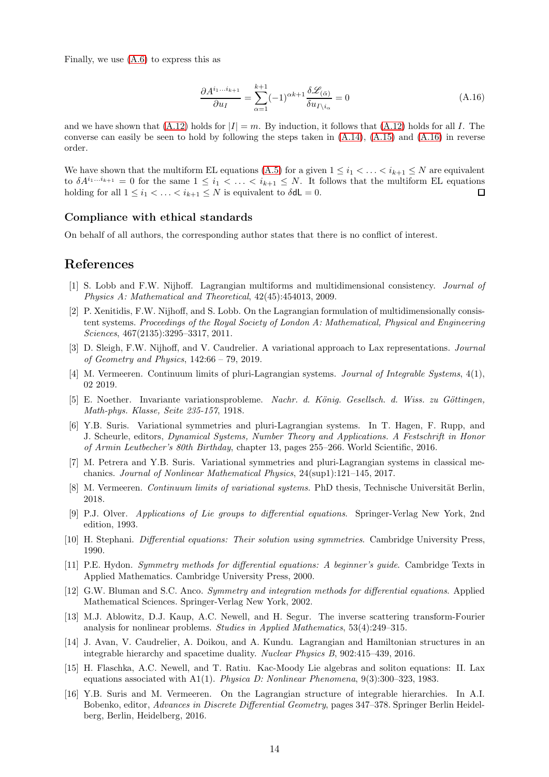Finally, we use [\(A.6\)](#page-11-1) to express this as

$$
\frac{\partial A^{i_1...i_{k+1}}}{\partial u_I} = \sum_{\alpha=1}^{k+1} (-1)^{\alpha k+1} \frac{\delta \mathcal{L}_{(\bar{\alpha})}}{\delta u_{I \setminus i_\alpha}} = 0 \tag{A.16}
$$

<span id="page-13-16"></span>and we have shown that  $(A.12)$  holds for  $|I| = m$ . By induction, it follows that  $(A.12)$  holds for all I. The converse can easily be seen to hold by following the steps taken in  $(A.14)$ ,  $(A.15)$  and  $(A.16)$  in reverse order.

We have shown that the multiform EL equations [\(A.5\)](#page-11-3) for a given  $1 \leq i_1 < \ldots < i_{k+1} \leq N$  are equivalent to  $\delta A^{i_1...i_{k+1}} = 0$  for the same  $1 \leq i_1 < \ldots < i_{k+1} \leq N$ . It follows that the multiform EL equations holding for all  $1 \leq i_1 < \ldots < i_{k+1} \leq N$  is equivalent to  $\delta dL = 0$ .  $\Box$ 

## Compliance with ethical standards

On behalf of all authors, the corresponding author states that there is no conflict of interest.

# <span id="page-13-0"></span>References

- <span id="page-13-1"></span>[1] S. Lobb and F.W. Nijhoff. Lagrangian multiforms and multidimensional consistency. Journal of Physics A: Mathematical and Theoretical, 42(45):454013, 2009.
- [2] P. Xenitidis, F.W. Nijhoff, and S. Lobb. On the Lagrangian formulation of multidimensionally consistent systems. Proceedings of the Royal Society of London A: Mathematical, Physical and Engineering Sciences, 467(2135):3295–3317, 2011.
- <span id="page-13-3"></span><span id="page-13-2"></span>[3] D. Sleigh, F.W. Nijhoff, and V. Caudrelier. A variational approach to Lax representations. Journal of Geometry and Physics, 142:66 – 79, 2019.
- <span id="page-13-4"></span>[4] M. Vermeeren. Continuum limits of pluri-Lagrangian systems. Journal of Integrable Systems, 4(1), 02 2019.
- [5] E. Noether. Invariante variationsprobleme. Nachr. d. König. Gesellsch. d. Wiss. zu Göttingen, Math-phys. Klasse, Seite 235-157, 1918.
- <span id="page-13-5"></span>[6] Y.B. Suris. Variational symmetries and pluri-Lagrangian systems. In T. Hagen, F. Rupp, and J. Scheurle, editors, Dynamical Systems, Number Theory and Applications. A Festschrift in Honor of Armin Leutbecher's 80th Birthday, chapter 13, pages 255–266. World Scientific, 2016.
- <span id="page-13-6"></span>[7] M. Petrera and Y.B. Suris. Variational symmetries and pluri-Lagrangian systems in classical mechanics. Journal of Nonlinear Mathematical Physics, 24(sup1):121–145, 2017.
- <span id="page-13-7"></span>[8] M. Vermeeren. Continuum limits of variational systems. PhD thesis, Technische Universität Berlin, 2018.
- <span id="page-13-8"></span>[9] P.J. Olver. Applications of Lie groups to differential equations. Springer-Verlag New York, 2nd edition, 1993.
- <span id="page-13-10"></span><span id="page-13-9"></span>[10] H. Stephani. Differential equations: Their solution using symmetries. Cambridge University Press, 1990.
- [11] P.E. Hydon. Symmetry methods for differential equations: A beginner's guide. Cambridge Texts in Applied Mathematics. Cambridge University Press, 2000.
- <span id="page-13-11"></span>[12] G.W. Bluman and S.C. Anco. Symmetry and integration methods for differential equations. Applied Mathematical Sciences. Springer-Verlag New York, 2002.
- <span id="page-13-12"></span>[13] M.J. Ablowitz, D.J. Kaup, A.C. Newell, and H. Segur. The inverse scattering transform-Fourier analysis for nonlinear problems. Studies in Applied Mathematics, 53(4):249–315.
- <span id="page-13-13"></span>[14] J. Avan, V. Caudrelier, A. Doikou, and A. Kundu. Lagrangian and Hamiltonian structures in an integrable hierarchy and spacetime duality. Nuclear Physics B, 902:415–439, 2016.
- <span id="page-13-14"></span>[15] H. Flaschka, A.C. Newell, and T. Ratiu. Kac-Moody Lie algebras and soliton equations: II. Lax equations associated with A1(1). Physica D: Nonlinear Phenomena,  $9(3):300-323$ , 1983.
- <span id="page-13-15"></span>[16] Y.B. Suris and M. Vermeeren. On the Lagrangian structure of integrable hierarchies. In A.I. Bobenko, editor, Advances in Discrete Differential Geometry, pages 347–378. Springer Berlin Heidelberg, Berlin, Heidelberg, 2016.